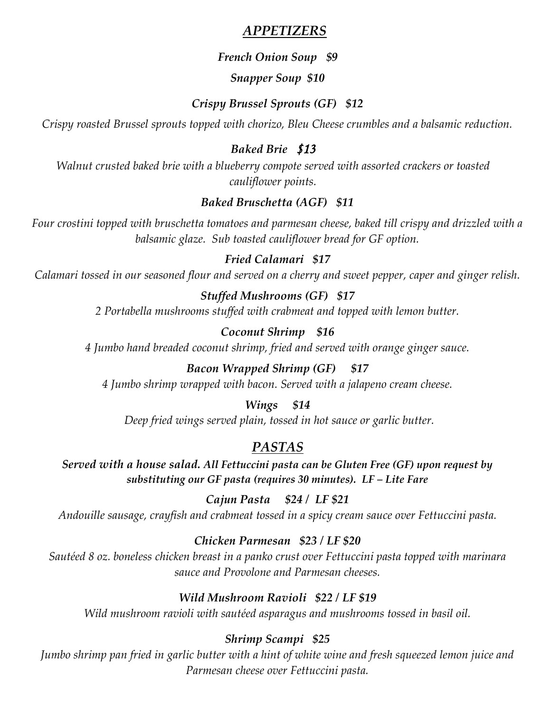# *APPETIZERS*

## *French Onion Soup \$9*

## *Snapper Soup \$10*

# *Crispy Brussel Sprouts (GF) \$12*

*Crispy roasted Brussel sprouts topped with chorizo, Bleu Cheese crumbles and a balsamic reduction.*

# *Baked Brie \$13*

*Walnut crusted baked brie with a blueberry compote served with assorted crackers or toasted cauliflower points.*

# *Baked Bruschetta (AGF) \$11*

*Four crostini topped with bruschetta tomatoes and parmesan cheese, baked till crispy and drizzled with a balsamic glaze. Sub toasted cauliflower bread for GF option.*

# *Fried Calamari \$17*

*Calamari tossed in our seasoned flour and served on a cherry and sweet pepper, caper and ginger relish.*

## *Stuffed Mushrooms (GF) \$17*

*2 Portabella mushrooms stuffed with crabmeat and topped with lemon butter.*

# *Coconut Shrimp \$16*

*4 Jumbo hand breaded coconut shrimp, fried and served with orange ginger sauce.*

#### *Bacon Wrapped Shrimp (GF) \$17*

*4 Jumbo shrimp wrapped with bacon. Served with a jalapeno cream cheese.*

#### *Wings \$14*

*Deep fried wings served plain, tossed in hot sauce or garlic butter.*

# *PASTAS*

*Served with a house salad. All Fettuccini pasta can be Gluten Free (GF) upon request by substituting our GF pasta (requires 30 minutes). LF – Lite Fare*

*Cajun Pasta \$24 / LF \$21 Andouille sausage, crayfish and crabmeat tossed in a spicy cream sauce over Fettuccini pasta.*

# *Chicken Parmesan \$23 / LF \$20*

*Sautéed 8 oz. boneless chicken breast in a panko crust over Fettuccini pasta topped with marinara sauce and Provolone and Parmesan cheeses.* 

# *Wild Mushroom Ravioli \$22 / LF \$19*

*Wild mushroom ravioli with sautéed asparagus and mushrooms tossed in basil oil.*

## *Shrimp Scampi \$25*

*Jumbo shrimp pan fried in garlic butter with a hint of white wine and fresh squeezed lemon juice and Parmesan cheese over Fettuccini pasta.*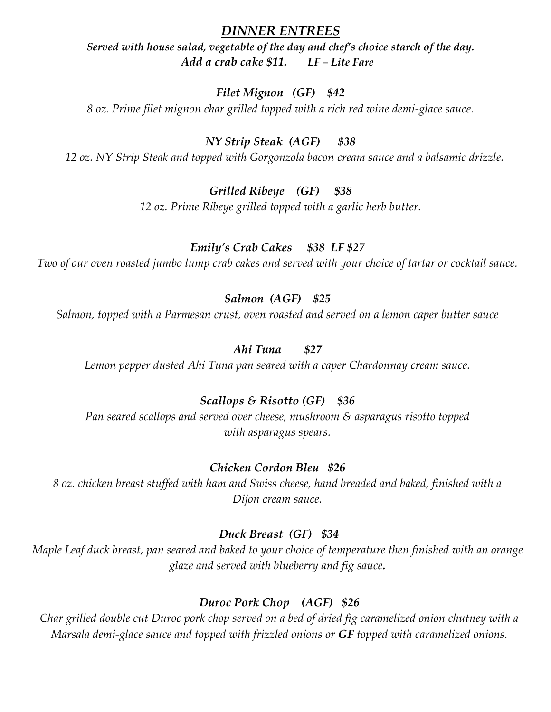### *DINNER ENTREES*

*Served with house salad, vegetable of the day and chef's choice starch of the day. Add a crab cake \$11. LF – Lite Fare*

#### *Filet Mignon (GF) \$42*

*8 oz. Prime filet mignon char grilled topped with a rich red wine demi-glace sauce.*

#### *NY Strip Steak (AGF) \$38*

*12 oz. NY Strip Steak and topped with Gorgonzola bacon cream sauce and a balsamic drizzle.* 

#### *Grilled Ribeye (GF) \$38*

*12 oz. Prime Ribeye grilled topped with a garlic herb butter.* 

#### *Emily's Crab Cakes \$38 LF \$27*

*Two of our oven roasted jumbo lump crab cakes and served with your choice of tartar or cocktail sauce.*

# *Salmon (AGF) \$25*

*Salmon, topped with a Parmesan crust, oven roasted and served on a lemon caper butter sauce* 

#### *Ahi Tuna \$27*

*Lemon pepper dusted Ahi Tuna pan seared with a caper Chardonnay cream sauce.*

#### *Scallops & Risotto (GF) \$36*

*Pan seared scallops and served over cheese, mushroom & asparagus risotto topped with asparagus spears.*

#### *Chicken Cordon Bleu \$26*

*8 oz. chicken breast stuffed with ham and Swiss cheese, hand breaded and baked, finished with a Dijon cream sauce.*

#### *Duck Breast (GF) \$34*

*Maple Leaf duck breast, pan seared and baked to your choice of temperature then finished with an orange glaze and served with blueberry and fig sauce.*

#### *Duroc Pork Chop (AGF) \$26*

*Char grilled double cut Duroc pork chop served on a bed of dried fig caramelized onion chutney with a Marsala demi-glace sauce and topped with frizzled onions or GF topped with caramelized onions.*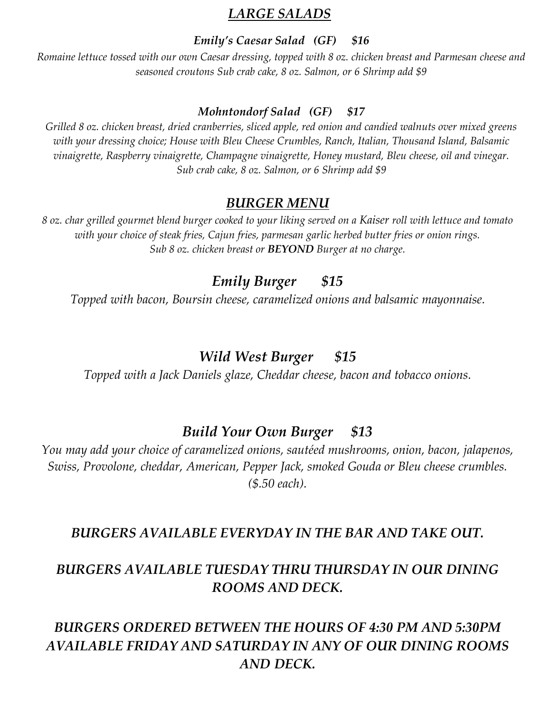# *LARGE SALADS*

#### *Emily's Caesar Salad (GF) \$16*

*Romaine lettuce tossed with our own Caesar dressing, topped with 8 oz. chicken breast and Parmesan cheese and seasoned croutons Sub crab cake, 8 oz. Salmon, or 6 Shrimp add \$9*

#### *Mohntondorf Salad (GF) \$17*

*Grilled 8 oz. chicken breast, dried cranberries, sliced apple, red onion and candied walnuts over mixed greens with your dressing choice; House with Bleu Cheese Crumbles, Ranch, Italian, Thousand Island, Balsamic vinaigrette, Raspberry vinaigrette, Champagne vinaigrette, Honey mustard, Bleu cheese, oil and vinegar. Sub crab cake, 8 oz. Salmon, or 6 Shrimp add \$9*

#### *BURGER MENU*

*8 oz. char grilled gourmet blend burger cooked to your liking served on a Kaiser roll with lettuce and tomato with your choice of steak fries, Cajun fries, parmesan garlic herbed butter fries or onion rings. Sub 8 oz. chicken breast or BEYOND Burger at no charge.*

# *Emily Burger \$15*

*Topped with bacon, Boursin cheese, caramelized onions and balsamic mayonnaise.*

# *Wild West Burger \$15*

*Topped with a Jack Daniels glaze, Cheddar cheese, bacon and tobacco onions.*

# *Build Your Own Burger \$13*

*You may add your choice of caramelized onions, sautéed mushrooms, onion, bacon, jalapenos, Swiss, Provolone, cheddar, American, Pepper Jack, smoked Gouda or Bleu cheese crumbles. (\$.50 each).*

## *BURGERS AVAILABLE EVERYDAY IN THE BAR AND TAKE OUT.*

# *BURGERS AVAILABLE TUESDAY THRU THURSDAY IN OUR DINING ROOMS AND DECK.*

# *BURGERS ORDERED BETWEEN THE HOURS OF 4:30 PM AND 5:30PM AVAILABLE FRIDAY AND SATURDAY IN ANY OF OUR DINING ROOMS AND DECK.*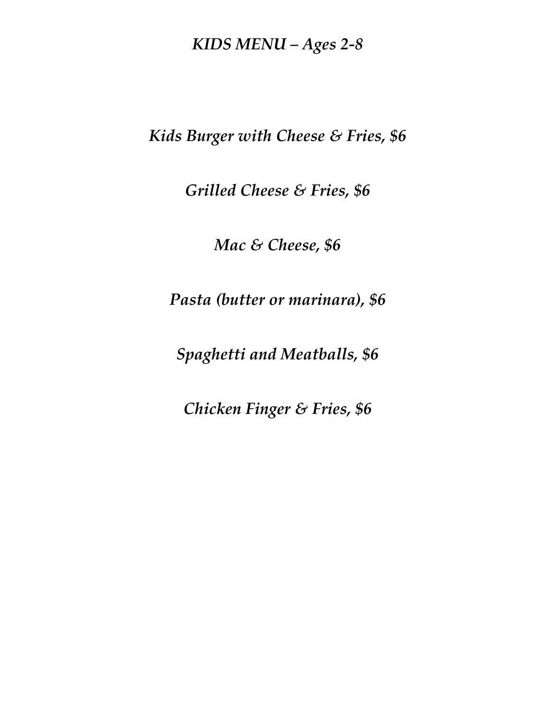# *KIDS MENU – Ages 2-8*

*Kids Burger with Cheese & Fries, \$6* 

*Grilled Cheese & Fries, \$6* 

*Mac & Cheese, \$6*

*Pasta (butter or marinara), \$6*

*Spaghetti and Meatballs, \$6* 

*Chicken Finger & Fries, \$6*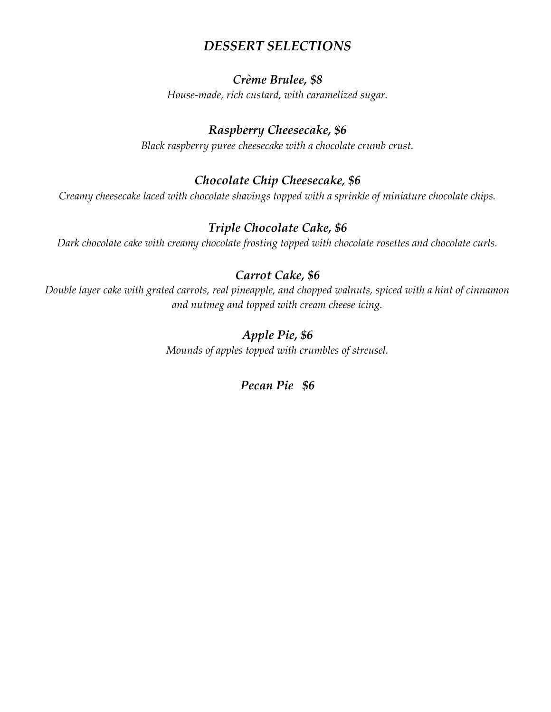# *DESSERT SELECTIONS*

#### *Crème Brulee, \$8*

*House-made, rich custard, with caramelized sugar.*

# *Raspberry Cheesecake, \$6*

*Black raspberry puree cheesecake with a chocolate crumb crust.*

## *Chocolate Chip Cheesecake, \$6*

*Creamy cheesecake laced with chocolate shavings topped with a sprinkle of miniature chocolate chips.*

# *Triple Chocolate Cake, \$6*

*Dark chocolate cake with creamy chocolate frosting topped with chocolate rosettes and chocolate curls.*

## *Carrot Cake, \$6*

*Double layer cake with grated carrots, real pineapple, and chopped walnuts, spiced with a hint of cinnamon and nutmeg and topped with cream cheese icing.*

# *Apple Pie, \$6*

*Mounds of apples topped with crumbles of streusel.*

#### *Pecan Pie \$6*